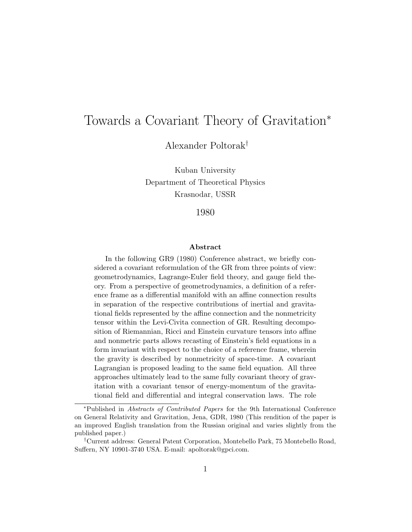## Towards a Covariant Theory of Gravitation<sup>∗</sup>

Alexander Poltorak†

Kuban University Department of Theoretical Physics Krasnodar, USSR

1980

## Abstract

In the following GR9 (1980) Conference abstract, we briefly considered a covariant reformulation of the GR from three points of view: geometrodynamics, Lagrange-Euler field theory, and gauge field theory. From a perspective of geometrodynamics, a definition of a reference frame as a differential manifold with an affine connection results in separation of the respective contributions of inertial and gravitational fields represented by the affine connection and the nonmetricity tensor within the Levi-Civita connection of GR. Resulting decomposition of Riemannian, Ricci and Einstein curvature tensors into affine and nonmetric parts allows recasting of Einstein's field equations in a form invariant with respect to the choice of a reference frame, wherein the gravity is described by nonmetricity of space-time. A covariant Lagrangian is proposed leading to the same field equation. All three approaches ultimately lead to the same fully covariant theory of gravitation with a covariant tensor of energy-momentum of the gravitational field and differential and integral conservation laws. The role

<sup>∗</sup>Published in Abstracts of Contributed Papers for the 9th International Conference on General Relativity and Gravitation, Jena, GDR, 1980 (This rendition of the paper is an improved English translation from the Russian original and varies slightly from the published paper.)

<sup>†</sup>Current address: General Patent Corporation, Montebello Park, 75 Montebello Road, Suffern, NY 10901-3740 USA. E-mail: apoltorak@gpci.com.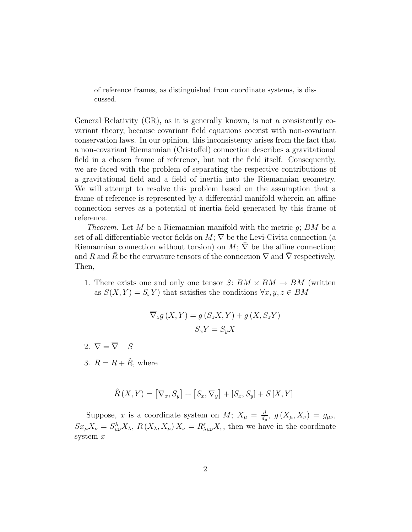of reference frames, as distinguished from coordinate systems, is discussed.

General Relativity (GR), as it is generally known, is not a consistently covariant theory, because covariant field equations coexist with non-covariant conservation laws. In our opinion, this inconsistency arises from the fact that a non-covariant Riemannian (Cristoffel) connection describes a gravitational field in a chosen frame of reference, but not the field itself. Consequently, we are faced with the problem of separating the respective contributions of a gravitational field and a field of inertia into the Riemannian geometry. We will attempt to resolve this problem based on the assumption that a frame of reference is represented by a differential manifold wherein an affine connection serves as a potential of inertia field generated by this frame of reference.

*Theorem.* Let M be a Riemannian manifold with the metric  $g$ ; BM be a set of all differentiable vector fields on  $M$ ;  $\nabla$  be the Levi-Civita connection (a Riemannian connection without torsion) on  $M$ ;  $\nabla$  be the affine connection; and R and  $\bar{R}$  be the curvature tensors of the connection  $\nabla$  and  $\nabla$  respectively. Then,

1. There exists one and only one tensor  $S: BM \times BM \rightarrow BM$  (written as  $S(X, Y) = S_x Y$  that satisfies the conditions  $\forall x, y, z \in BM$ 

$$
\nabla_z g(X, Y) = g(S_z X, Y) + g(X, S_z Y)
$$

$$
S_x Y = S_y X
$$

- 2.  $\nabla = \overline{\nabla} + S$
- 3.  $R = \overline{R} + \hat{R}$ , where

$$
\hat{R}(X,Y) = \left[\overline{\nabla}_x, S_y\right] + \left[S_x, \overline{\nabla}_y\right] + \left[S_x, S_y\right] + S\left[X, Y\right]
$$

Suppose, x is a coordinate system on M;  $X_{\mu} = \frac{d}{dx}$  $\frac{d}{d_\mu},\,\,g\left(X_\mu,X_\nu\right)\,=\,g_{\mu\nu},$  $Sx_{\mu}X_{\nu} = S^{\lambda}_{\mu\nu}X_{\lambda}, R(X_{\lambda}, X_{\mu})X_{\nu} = R^{\varepsilon}_{\lambda\mu\nu}X_{\varepsilon}$ , then we have in the coordinate system x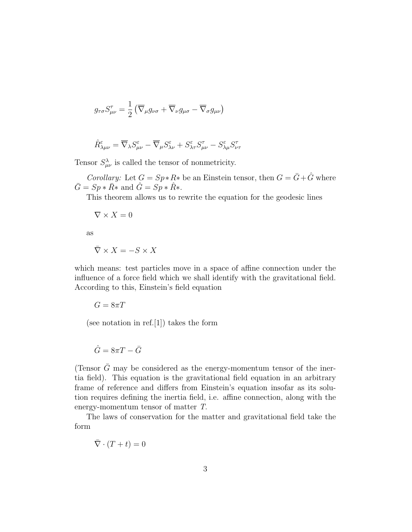$$
g_{\tau\sigma}S^{\tau}_{\mu\nu} = \frac{1}{2} \left( \overline{\nabla}_{\mu} g_{\nu\sigma} + \overline{\nabla}_{\nu} g_{\mu\sigma} - \overline{\nabla}_{\sigma} g_{\mu\nu} \right)
$$

$$
\hat{R}^{\varepsilon}_{\lambda\mu\nu}=\overline{\nabla}_{\lambda}S^{\varepsilon}_{\mu\nu}-\overline{\nabla}_{\mu}S^{\varepsilon}_{\lambda\nu}+S^{\varepsilon}_{\lambda\tau}S^{\tau}_{\mu\nu}-S^{\varepsilon}_{\lambda\mu}S^{\tau}_{\nu\tau}
$$

Tensor  $S^{\lambda}_{\mu\nu}$  is called the tensor of nonmetricity.

*Corollary:* Let  $G = Sp * R *$  be an Einstein tensor, then  $G = \overline{G} + \hat{G}$  where  $\overline{G} = Sp * \overline{R} *$  and  $\hat{G} = Sp * \hat{R} *$ .

This theorem allows us to rewrite the equation for the geodesic lines

 $\nabla \times X = 0$ 

as

$$
\bar{\nabla} \times X = -S \times X
$$

which means: test particles move in a space of affine connection under the influence of a force field which we shall identify with the gravitational field. According to this, Einstein's field equation

$$
G=8\pi T
$$

(see notation in ref.[1]) takes the form

$$
\hat{G} = 8\pi T - \bar{G}
$$

(Tensor  $\bar{G}$  may be considered as the energy-momentum tensor of the inertia field). This equation is the gravitational field equation in an arbitrary frame of reference and differs from Einstein's equation insofar as its solution requires defining the inertia field, i.e. affine connection, along with the energy-momentum tensor of matter T.

The laws of conservation for the matter and gravitational field take the form

$$
\bar{\nabla} \cdot (T + t) = 0
$$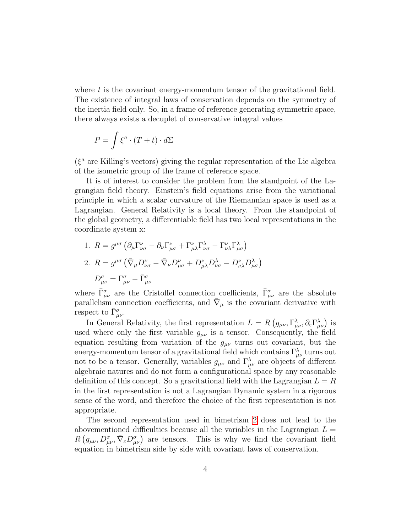where  $t$  is the covariant energy-momentum tensor of the gravitational field. The existence of integral laws of conservation depends on the symmetry of the inertia field only. So, in a frame of reference generating symmetric space, there always exists a decuplet of conservative integral values

$$
P = \int \xi^a \cdot (T + t) \cdot d\Sigma
$$

 $(\xi^a)$  are Killing's vectors) giving the regular representation of the Lie algebra of the isometric group of the frame of reference space.

It is of interest to consider the problem from the standpoint of the Lagrangian field theory. Einstein's field equations arise from the variational principle in which a scalar curvature of the Riemannian space is used as a Lagrangian. General Relativity is a local theory. From the standpoint of the global geometry, a differentiable field has two local representations in the coordinate system x:

- 1.  $R = g^{\mu\sigma} \left( \partial_{\mu} \Gamma^{\nu}_{\nu\sigma} \partial_{\nu} \Gamma^{\nu}_{\mu\sigma} + \Gamma^{\nu}_{\mu\lambda} \Gamma^{\lambda}_{\nu\sigma} \Gamma^{\nu}_{\nu\lambda} \Gamma^{\lambda}_{\mu\sigma} \right)$
- 2.  $R = g^{\mu\sigma} \left( \bar{\nabla}_{\mu} D^{\nu}_{\nu\sigma} \bar{\nabla}_{\nu} D^{\nu}_{\mu\sigma} + D^{\nu}_{\mu\lambda} D^{\lambda}_{\nu\sigma} D^{\nu}_{\nu\lambda} D^{\lambda}_{\mu\sigma} \right)$  $D^{\sigma}_{\mu\nu} = \Gamma^{\sigma}_{\mu\nu} - \bar{\Gamma}^{\sigma}_{\mu\nu}$

where  $\bar{\Gamma}^{\sigma}_{\mu\nu}$  are the Cristoffel connection coefficients,  $\bar{\Gamma}^{\sigma}_{\mu\nu}$  are the absolute parallelism connection coefficients, and  $\bar{\nabla}_{\mu}$  is the covariant derivative with respect to  $\bar{\Gamma}^{\sigma}_{\mu\nu}$ .

In General Relativity, the first representation  $L = R(g_{\mu\nu}, \Gamma^{\lambda}_{\mu\nu}, \partial_{\varepsilon} \Gamma^{\lambda}_{\mu\nu})$  is used where only the first variable  $g_{\mu\nu}$  is a tensor. Consequently, the field equation resulting from variation of the  $g_{\mu\nu}$  turns out covariant, but the energy-momentum tensor of a gravitational field which contains  $\Gamma_{\mu\nu}^{\lambda}$  turns out not to be a tensor. Generally, variables  $g_{\mu\nu}$  and  $\Gamma^{\lambda}_{\mu\nu}$  are objects of different algebraic natures and do not form a configurational space by any reasonable definition of this concept. So a gravitational field with the Lagrangian  $L = R$ in the first representation is not a Lagrangian Dynamic system in a rigorous sense of the word, and therefore the choice of the first representation is not appropriate.

The second representation used in bimetrism [2](#page-5-0) does not lead to the abovementioned difficulties because all the variables in the Lagrangian  $L =$  $R(g_{\mu\nu}, D^{\sigma}_{\mu\nu}, \bar{\nabla}_{\varepsilon}D^{\sigma}_{\mu\nu})$  are tensors. This is why we find the covariant field equation in bimetrism side by side with covariant laws of conservation.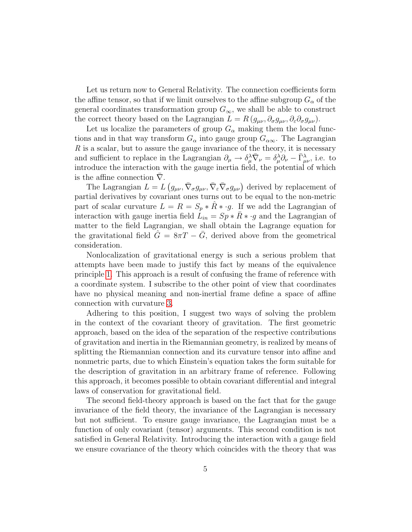Let us return now to General Relativity. The connection coefficients form the affine tensor, so that if we limit ourselves to the affine subgroup  $G_{\alpha}$  of the general coordinates transformation group  $G_{\infty}$ , we shall be able to construct the correct theory based on the Lagrangian  $L = R(g_{\mu\nu}, \partial_{\sigma}g_{\mu\nu}, \partial_{\varepsilon}\partial_{\sigma}g_{\mu\nu}).$ 

Let us localize the parameters of group  $G_{\alpha}$  making them the local functions and in that way transform  $G_{\alpha}$  into gauge group  $G_{\alpha\infty}$ . The Lagrangian R is a scalar, but to assure the gauge invariance of the theory, it is necessary and sufficient to replace in the Lagrangian  $\partial_{\mu} \to \delta_{\mu}^{\lambda} \overline{\nabla}_{\nu} = \delta_{\mu}^{\lambda} \partial_{\nu} - \overline{\Gamma}_{\mu\nu}^{\lambda}$ , i.e. to introduce the interaction with the gauge inertia field, the potential of which is the affine connection  $\nabla$ .

The Lagrangian  $L = L(g_{\mu\nu}, \bar{\nabla}_{\sigma}g_{\mu\nu}, \bar{\nabla}_{\varepsilon}\bar{\nabla}_{\sigma}g_{\mu\nu})$  derived by replacement of partial derivatives by covariant ones turns out to be equal to the non-metric part of scalar curvature  $L = R = S_p * R * g$ . If we add the Lagrangian of interaction with gauge inertia field  $L_{in} = Sp * \overline{R} * g$  and the Lagrangian of matter to the field Lagrangian, we shall obtain the Lagrange equation for the gravitational field  $G = 8\pi T - G$ , derived above from the geometrical consideration.

Nonlocalization of gravitational energy is such a serious problem that attempts have been made to justify this fact by means of the equivalence principle [1.](#page-5-1) This approach is a result of confusing the frame of reference with a coordinate system. I subscribe to the other point of view that coordinates have no physical meaning and non-inertial frame define a space of affine connection with curvature [3.](#page-5-2)

Adhering to this position, I suggest two ways of solving the problem in the context of the covariant theory of gravitation. The first geometric approach, based on the idea of the separation of the respective contributions of gravitation and inertia in the Riemannian geometry, is realized by means of splitting the Riemannian connection and its curvature tensor into affine and nonmetric parts, due to which Einstein's equation takes the form suitable for the description of gravitation in an arbitrary frame of reference. Following this approach, it becomes possible to obtain covariant differential and integral laws of conservation for gravitational field.

The second field-theory approach is based on the fact that for the gauge invariance of the field theory, the invariance of the Lagrangian is necessary but not sufficient. To ensure gauge invariance, the Lagrangian must be a function of only covariant (tensor) arguments. This second condition is not satisfied in General Relativity. Introducing the interaction with a gauge field we ensure covariance of the theory which coincides with the theory that was